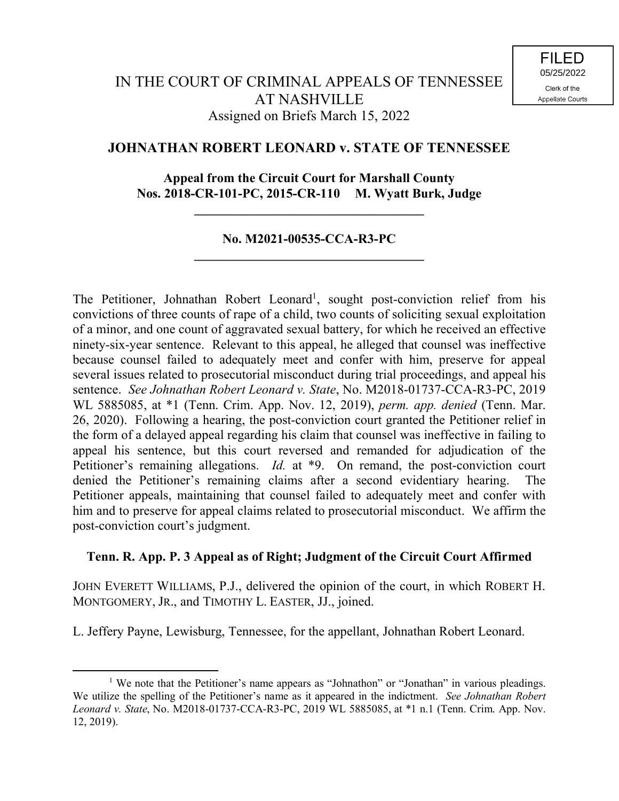## **JOHNATHAN ROBERT LEONARD v. STATE OF TENNESSEE**

## **Appeal from the Circuit Court for Marshall County Nos. 2018-CR-101-PC, 2015-CR-110 M. Wyatt Burk, Judge**

**\_\_\_\_\_\_\_\_\_\_\_\_\_\_\_\_\_\_\_\_\_\_\_\_\_\_\_\_\_\_\_\_\_\_\_**

## **No. M2021-00535-CCA-R3-PC \_\_\_\_\_\_\_\_\_\_\_\_\_\_\_\_\_\_\_\_\_\_\_\_\_\_\_\_\_\_\_\_\_\_\_**

The Petitioner, Johnathan Robert Leonard<sup>1</sup>, sought post-conviction relief from his convictions of three counts of rape of a child, two counts of soliciting sexual exploitation of a minor, and one count of aggravated sexual battery, for which he received an effective ninety-six-year sentence. Relevant to this appeal, he alleged that counsel was ineffective because counsel failed to adequately meet and confer with him, preserve for appeal several issues related to prosecutorial misconduct during trial proceedings, and appeal his sentence. *See Johnathan Robert Leonard v. State*, No. M2018-01737-CCA-R3-PC, 2019 WL 5885085, at \*1 (Tenn. Crim. App. Nov. 12, 2019), *perm. app. denied* (Tenn. Mar. 26, 2020). Following a hearing, the post-conviction court granted the Petitioner relief in the form of a delayed appeal regarding his claim that counsel was ineffective in failing to appeal his sentence, but this court reversed and remanded for adjudication of the Petitioner's remaining allegations. *Id.* at \*9. On remand, the post-conviction court denied the Petitioner's remaining claims after a second evidentiary hearing. The Petitioner appeals, maintaining that counsel failed to adequately meet and confer with him and to preserve for appeal claims related to prosecutorial misconduct. We affirm the post-conviction court's judgment.

## **Tenn. R. App. P. 3 Appeal as of Right; Judgment of the Circuit Court Affirmed**

JOHN EVERETT WILLIAMS, P.J., delivered the opinion of the court, in which ROBERT H. MONTGOMERY, JR., and TIMOTHY L. EASTER, JJ., joined.

L. Jeffery Payne, Lewisburg, Tennessee, for the appellant, Johnathan Robert Leonard.

 $\overline{a}$ 

<sup>&</sup>lt;sup>1</sup> We note that the Petitioner's name appears as "Johnathon" or "Jonathan" in various pleadings. We utilize the spelling of the Petitioner's name as it appeared in the indictment. *See Johnathan Robert Leonard v. State*, No. M2018-01737-CCA-R3-PC, 2019 WL 5885085, at \*1 n.1 (Tenn. Crim. App. Nov. 12, 2019).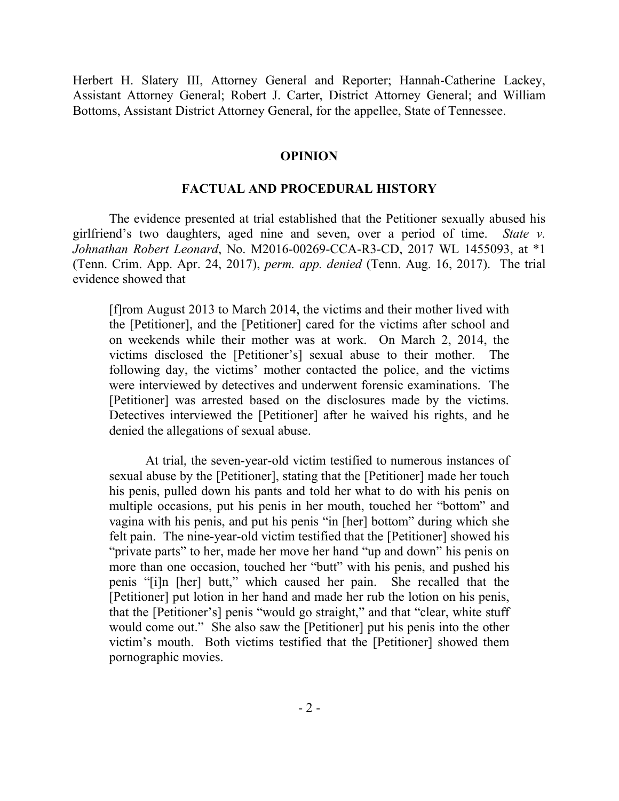Herbert H. Slatery III, Attorney General and Reporter; Hannah-Catherine Lackey, Assistant Attorney General; Robert J. Carter, District Attorney General; and William Bottoms, Assistant District Attorney General, for the appellee, State of Tennessee.

#### **OPINION**

## **FACTUAL AND PROCEDURAL HISTORY**

The evidence presented at trial established that the Petitioner sexually abused his girlfriend's two daughters, aged nine and seven, over a period of time. *State v. Johnathan Robert Leonard*, No. M2016-00269-CCA-R3-CD, 2017 WL 1455093, at \*1 (Tenn. Crim. App. Apr. 24, 2017), *perm. app. denied* (Tenn. Aug. 16, 2017). The trial evidence showed that

[f]rom August 2013 to March 2014, the victims and their mother lived with the [Petitioner], and the [Petitioner] cared for the victims after school and on weekends while their mother was at work. On March 2, 2014, the victims disclosed the [Petitioner's] sexual abuse to their mother. The following day, the victims' mother contacted the police, and the victims were interviewed by detectives and underwent forensic examinations. The [Petitioner] was arrested based on the disclosures made by the victims. Detectives interviewed the [Petitioner] after he waived his rights, and he denied the allegations of sexual abuse.

At trial, the seven-year-old victim testified to numerous instances of sexual abuse by the [Petitioner], stating that the [Petitioner] made her touch his penis, pulled down his pants and told her what to do with his penis on multiple occasions, put his penis in her mouth, touched her "bottom" and vagina with his penis, and put his penis "in [her] bottom" during which she felt pain. The nine-year-old victim testified that the [Petitioner] showed his "private parts" to her, made her move her hand "up and down" his penis on more than one occasion, touched her "butt" with his penis, and pushed his penis "[i]n [her] butt," which caused her pain. She recalled that the [Petitioner] put lotion in her hand and made her rub the lotion on his penis, that the [Petitioner's] penis "would go straight," and that "clear, white stuff would come out." She also saw the [Petitioner] put his penis into the other victim's mouth. Both victims testified that the [Petitioner] showed them pornographic movies.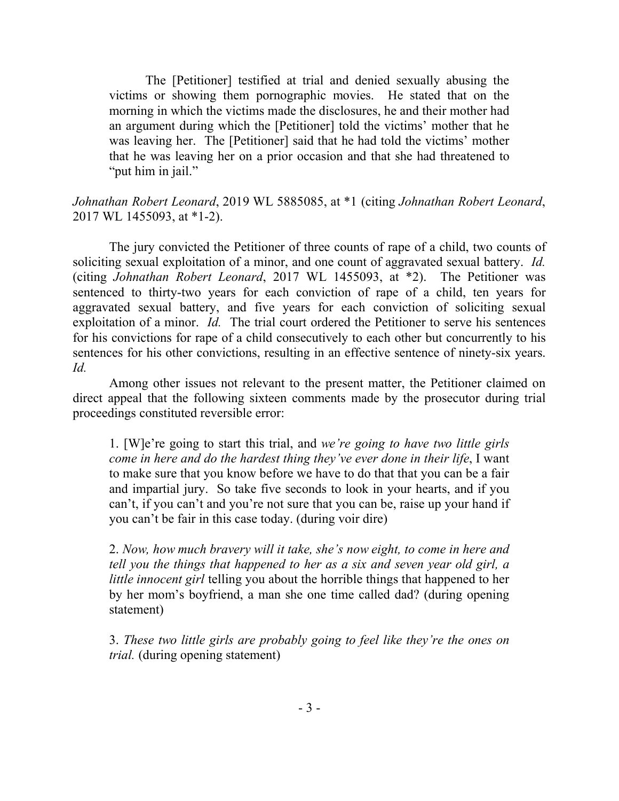The [Petitioner] testified at trial and denied sexually abusing the victims or showing them pornographic movies. He stated that on the morning in which the victims made the disclosures, he and their mother had an argument during which the [Petitioner] told the victims' mother that he was leaving her. The [Petitioner] said that he had told the victims' mother that he was leaving her on a prior occasion and that she had threatened to "put him in jail."

# *Johnathan Robert Leonard*, 2019 WL 5885085, at \*1 (citing *Johnathan Robert Leonard*, 2017 WL 1455093, at \*1-2).

The jury convicted the Petitioner of three counts of rape of a child, two counts of soliciting sexual exploitation of a minor, and one count of aggravated sexual battery. *Id.* (citing *Johnathan Robert Leonard*, 2017 WL 1455093, at \*2). The Petitioner was sentenced to thirty-two years for each conviction of rape of a child, ten years for aggravated sexual battery, and five years for each conviction of soliciting sexual exploitation of a minor. *Id.* The trial court ordered the Petitioner to serve his sentences for his convictions for rape of a child consecutively to each other but concurrently to his sentences for his other convictions, resulting in an effective sentence of ninety-six years. *Id.*

Among other issues not relevant to the present matter, the Petitioner claimed on direct appeal that the following sixteen comments made by the prosecutor during trial proceedings constituted reversible error:

1. [W]e're going to start this trial, and *we're going to have two little girls come in here and do the hardest thing they've ever done in their life*, I want to make sure that you know before we have to do that that you can be a fair and impartial jury. So take five seconds to look in your hearts, and if you can't, if you can't and you're not sure that you can be, raise up your hand if you can't be fair in this case today. (during voir dire)

2. *Now, how much bravery will it take, she's now eight, to come in here and tell you the things that happened to her as a six and seven year old girl, a little innocent girl* telling you about the horrible things that happened to her by her mom's boyfriend, a man she one time called dad? (during opening statement)

3. *These two little girls are probably going to feel like they're the ones on trial.* (during opening statement)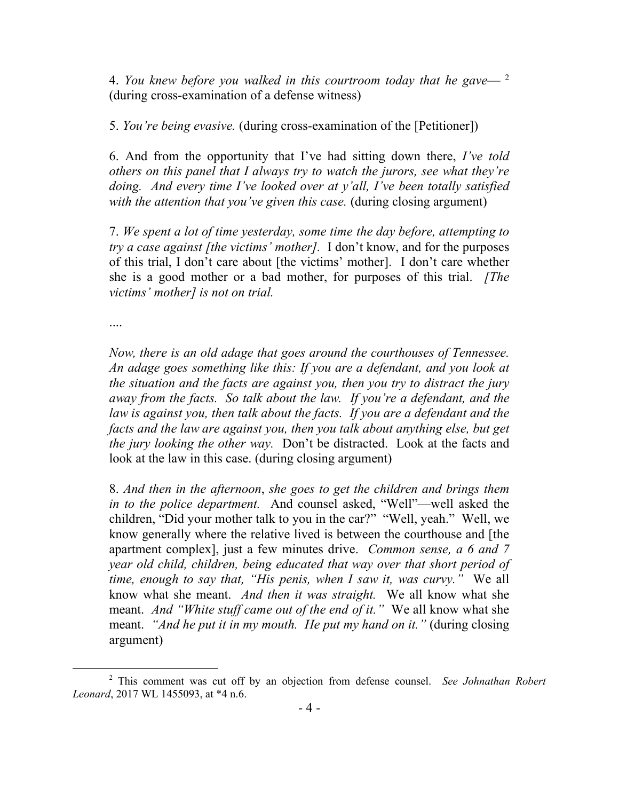4. *You knew before you walked in this courtroom today that he gave*— <sup>2</sup> (during cross-examination of a defense witness)

5. *You're being evasive.* (during cross-examination of the [Petitioner])

6. And from the opportunity that I've had sitting down there, *I've told others on this panel that I always try to watch the jurors, see what they're doing. And every time I've looked over at y'all, I've been totally satisfied with the attention that you've given this case.* (during closing argument)

7. *We spent a lot of time yesterday, some time the day before, attempting to try a case against [the victims' mother].* I don't know, and for the purposes of this trial, I don't care about [the victims' mother]. I don't care whether she is a good mother or a bad mother, for purposes of this trial. *[The victims' mother] is not on trial.*

....

 $\overline{a}$ 

*Now, there is an old adage that goes around the courthouses of Tennessee. An adage goes something like this: If you are a defendant, and you look at the situation and the facts are against you, then you try to distract the jury away from the facts. So talk about the law. If you're a defendant, and the law is against you, then talk about the facts. If you are a defendant and the facts and the law are against you, then you talk about anything else, but get the jury looking the other way.* Don't be distracted. Look at the facts and look at the law in this case. (during closing argument)

8. *And then in the afternoon*, *she goes to get the children and brings them in to the police department.* And counsel asked, "Well"—well asked the children, "Did your mother talk to you in the car?" "Well, yeah." Well, we know generally where the relative lived is between the courthouse and [the apartment complex], just a few minutes drive. *Common sense, a 6 and 7 year old child, children, being educated that way over that short period of time, enough to say that, "His penis, when I saw it, was curvy."* We all know what she meant. *And then it was straight.* We all know what she meant. *And "White stuff came out of the end of it."* We all know what she meant. *"And he put it in my mouth. He put my hand on it."* (during closing argument)

<sup>2</sup> This comment was cut off by an objection from defense counsel. *See Johnathan Robert Leonard*, 2017 WL 1455093, at \*4 n.6.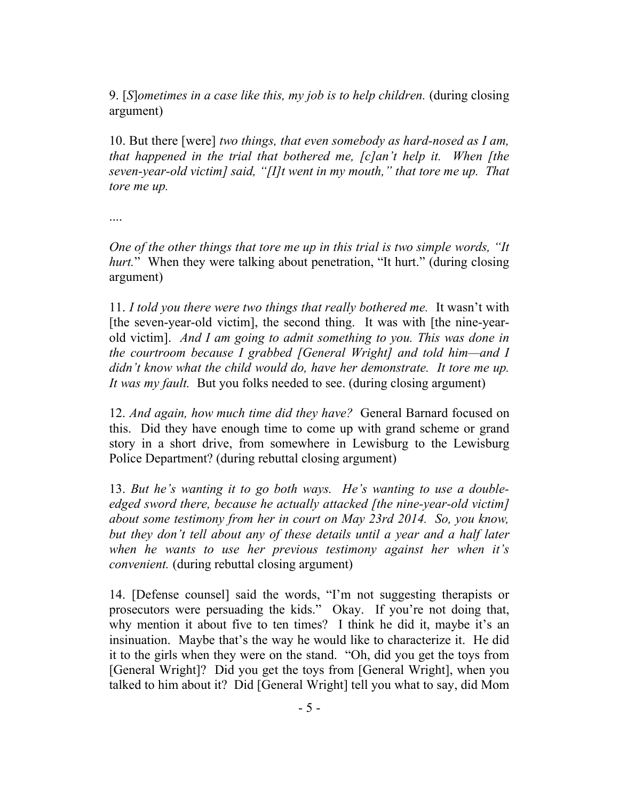9. [*S*]*ometimes in a case like this, my job is to help children.* (during closing argument)

10. But there [were] *two things, that even somebody as hard-nosed as I am, that happened in the trial that bothered me, [c]an't help it. When [the seven-year-old victim] said, "[I]t went in my mouth," that tore me up. That tore me up.*

....

*One of the other things that tore me up in this trial is two simple words, "It hurt.*" When they were talking about penetration, "It hurt." (during closing argument)

11. *I told you there were two things that really bothered me.* It wasn't with [the seven-year-old victim], the second thing. It was with [the nine-yearold victim]. *And I am going to admit something to you. This was done in the courtroom because I grabbed [General Wright] and told him—and I didn't know what the child would do, have her demonstrate. It tore me up. It was my fault.* But you folks needed to see. (during closing argument)

12. *And again, how much time did they have?* General Barnard focused on this. Did they have enough time to come up with grand scheme or grand story in a short drive, from somewhere in Lewisburg to the Lewisburg Police Department? (during rebuttal closing argument)

13. *But he's wanting it to go both ways. He's wanting to use a doubleedged sword there, because he actually attacked [the nine-year-old victim] about some testimony from her in court on May 23rd 2014. So, you know, but they don't tell about any of these details until a year and a half later when he wants to use her previous testimony against her when it's convenient.* (during rebuttal closing argument)

14. [Defense counsel] said the words, "I'm not suggesting therapists or prosecutors were persuading the kids." Okay. If you're not doing that, why mention it about five to ten times? I think he did it, maybe it's an insinuation. Maybe that's the way he would like to characterize it. He did it to the girls when they were on the stand. "Oh, did you get the toys from [General Wright]? Did you get the toys from [General Wright], when you talked to him about it? Did [General Wright] tell you what to say, did Mom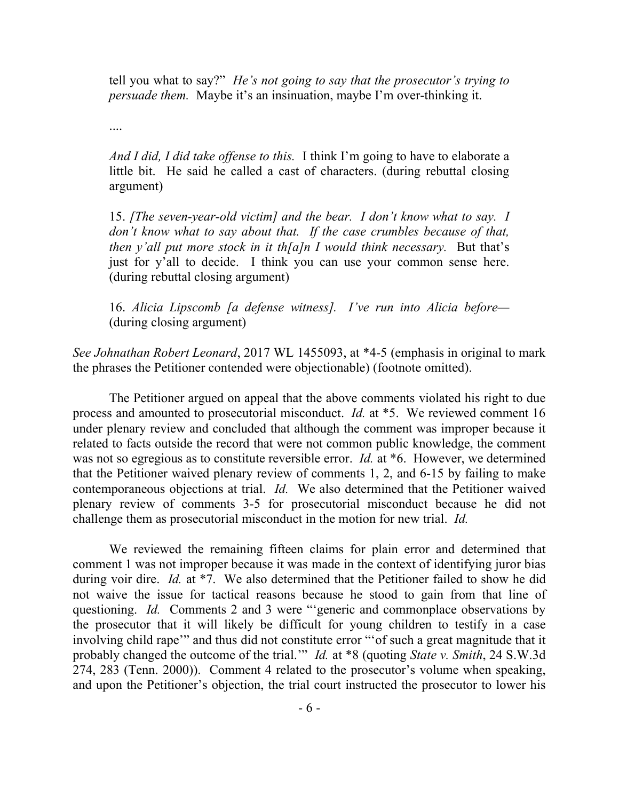tell you what to say?" *He's not going to say that the prosecutor's trying to persuade them.* Maybe it's an insinuation, maybe I'm over-thinking it.

....

*And I did, I did take offense to this.* I think I'm going to have to elaborate a little bit. He said he called a cast of characters. (during rebuttal closing argument)

15. *[The seven-year-old victim] and the bear. I don't know what to say. I don't know what to say about that. If the case crumbles because of that, then y'all put more stock in it th[a]n I would think necessary.* But that's just for y'all to decide. I think you can use your common sense here. (during rebuttal closing argument)

16. *Alicia Lipscomb [a defense witness]. I've run into Alicia before—* (during closing argument)

*See Johnathan Robert Leonard*, 2017 WL 1455093, at \*4-5 (emphasis in original to mark the phrases the Petitioner contended were objectionable) (footnote omitted).

The Petitioner argued on appeal that the above comments violated his right to due process and amounted to prosecutorial misconduct. *Id.* at \*5. We reviewed comment 16 under plenary review and concluded that although the comment was improper because it related to facts outside the record that were not common public knowledge, the comment was not so egregious as to constitute reversible error. *Id.* at \*6. However, we determined that the Petitioner waived plenary review of comments 1, 2, and 6-15 by failing to make contemporaneous objections at trial. *Id.* We also determined that the Petitioner waived plenary review of comments 3-5 for prosecutorial misconduct because he did not challenge them as prosecutorial misconduct in the motion for new trial. *Id.*

We reviewed the remaining fifteen claims for plain error and determined that comment 1 was not improper because it was made in the context of identifying juror bias during voir dire. *Id.* at \*7. We also determined that the Petitioner failed to show he did not waive the issue for tactical reasons because he stood to gain from that line of questioning. *Id.* Comments 2 and 3 were "'generic and commonplace observations by the prosecutor that it will likely be difficult for young children to testify in a case involving child rape'" and thus did not constitute error "'of such a great magnitude that it probably changed the outcome of the trial.'" *Id.* at \*8 (quoting *State v. Smith*, 24 S.W.3d 274, 283 (Tenn. 2000)). Comment 4 related to the prosecutor's volume when speaking, and upon the Petitioner's objection, the trial court instructed the prosecutor to lower his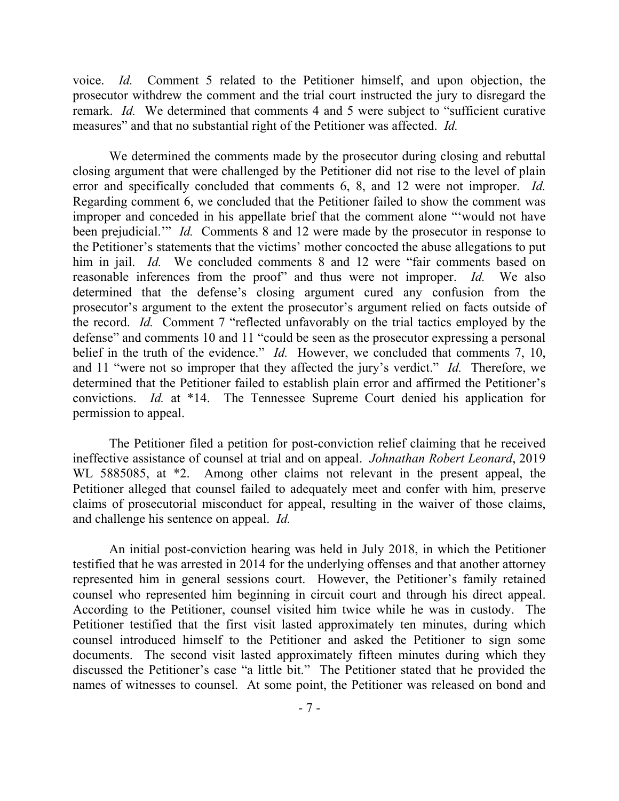voice. *Id.* Comment 5 related to the Petitioner himself, and upon objection, the prosecutor withdrew the comment and the trial court instructed the jury to disregard the remark. *Id.* We determined that comments 4 and 5 were subject to "sufficient curative" measures" and that no substantial right of the Petitioner was affected. *Id.*

We determined the comments made by the prosecutor during closing and rebuttal closing argument that were challenged by the Petitioner did not rise to the level of plain error and specifically concluded that comments 6, 8, and 12 were not improper. *Id.* Regarding comment 6, we concluded that the Petitioner failed to show the comment was improper and conceded in his appellate brief that the comment alone "'would not have been prejudicial." *Id.* Comments 8 and 12 were made by the prosecutor in response to the Petitioner's statements that the victims' mother concocted the abuse allegations to put him in jail. *Id.* We concluded comments 8 and 12 were "fair comments based on reasonable inferences from the proof" and thus were not improper. *Id.* We also determined that the defense's closing argument cured any confusion from the prosecutor's argument to the extent the prosecutor's argument relied on facts outside of the record. *Id.* Comment 7 "reflected unfavorably on the trial tactics employed by the defense" and comments 10 and 11 "could be seen as the prosecutor expressing a personal belief in the truth of the evidence." *Id.* However, we concluded that comments 7, 10, and 11 "were not so improper that they affected the jury's verdict." *Id.* Therefore, we determined that the Petitioner failed to establish plain error and affirmed the Petitioner's convictions. *Id.* at \*14. The Tennessee Supreme Court denied his application for permission to appeal.

The Petitioner filed a petition for post-conviction relief claiming that he received ineffective assistance of counsel at trial and on appeal. *Johnathan Robert Leonard*, 2019 WL 5885085, at  $*2$ . Among other claims not relevant in the present appeal, the Petitioner alleged that counsel failed to adequately meet and confer with him, preserve claims of prosecutorial misconduct for appeal, resulting in the waiver of those claims, and challenge his sentence on appeal. *Id.*

An initial post-conviction hearing was held in July 2018, in which the Petitioner testified that he was arrested in 2014 for the underlying offenses and that another attorney represented him in general sessions court. However, the Petitioner's family retained counsel who represented him beginning in circuit court and through his direct appeal. According to the Petitioner, counsel visited him twice while he was in custody. The Petitioner testified that the first visit lasted approximately ten minutes, during which counsel introduced himself to the Petitioner and asked the Petitioner to sign some documents. The second visit lasted approximately fifteen minutes during which they discussed the Petitioner's case "a little bit." The Petitioner stated that he provided the names of witnesses to counsel. At some point, the Petitioner was released on bond and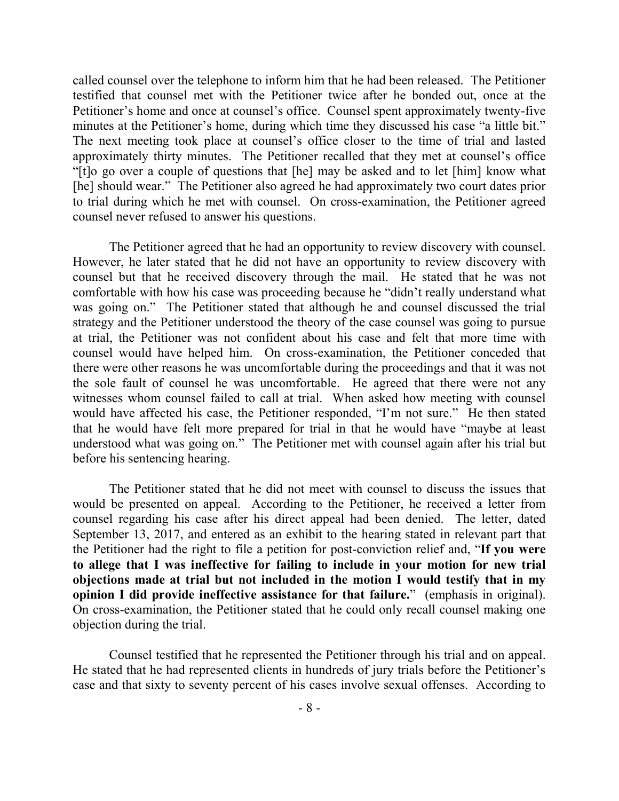called counsel over the telephone to inform him that he had been released. The Petitioner testified that counsel met with the Petitioner twice after he bonded out, once at the Petitioner's home and once at counsel's office. Counsel spent approximately twenty-five minutes at the Petitioner's home, during which time they discussed his case "a little bit." The next meeting took place at counsel's office closer to the time of trial and lasted approximately thirty minutes. The Petitioner recalled that they met at counsel's office "[t]o go over a couple of questions that [he] may be asked and to let [him] know what [he] should wear." The Petitioner also agreed he had approximately two court dates prior to trial during which he met with counsel. On cross-examination, the Petitioner agreed counsel never refused to answer his questions.

The Petitioner agreed that he had an opportunity to review discovery with counsel. However, he later stated that he did not have an opportunity to review discovery with counsel but that he received discovery through the mail. He stated that he was not comfortable with how his case was proceeding because he "didn't really understand what was going on." The Petitioner stated that although he and counsel discussed the trial strategy and the Petitioner understood the theory of the case counsel was going to pursue at trial, the Petitioner was not confident about his case and felt that more time with counsel would have helped him. On cross-examination, the Petitioner conceded that there were other reasons he was uncomfortable during the proceedings and that it was not the sole fault of counsel he was uncomfortable. He agreed that there were not any witnesses whom counsel failed to call at trial. When asked how meeting with counsel would have affected his case, the Petitioner responded, "I'm not sure." He then stated that he would have felt more prepared for trial in that he would have "maybe at least understood what was going on." The Petitioner met with counsel again after his trial but before his sentencing hearing.

The Petitioner stated that he did not meet with counsel to discuss the issues that would be presented on appeal. According to the Petitioner, he received a letter from counsel regarding his case after his direct appeal had been denied. The letter, dated September 13, 2017, and entered as an exhibit to the hearing stated in relevant part that the Petitioner had the right to file a petition for post-conviction relief and, "**If you were to allege that I was ineffective for failing to include in your motion for new trial objections made at trial but not included in the motion I would testify that in my opinion I did provide ineffective assistance for that failure.**" (emphasis in original). On cross-examination, the Petitioner stated that he could only recall counsel making one objection during the trial.

Counsel testified that he represented the Petitioner through his trial and on appeal. He stated that he had represented clients in hundreds of jury trials before the Petitioner's case and that sixty to seventy percent of his cases involve sexual offenses. According to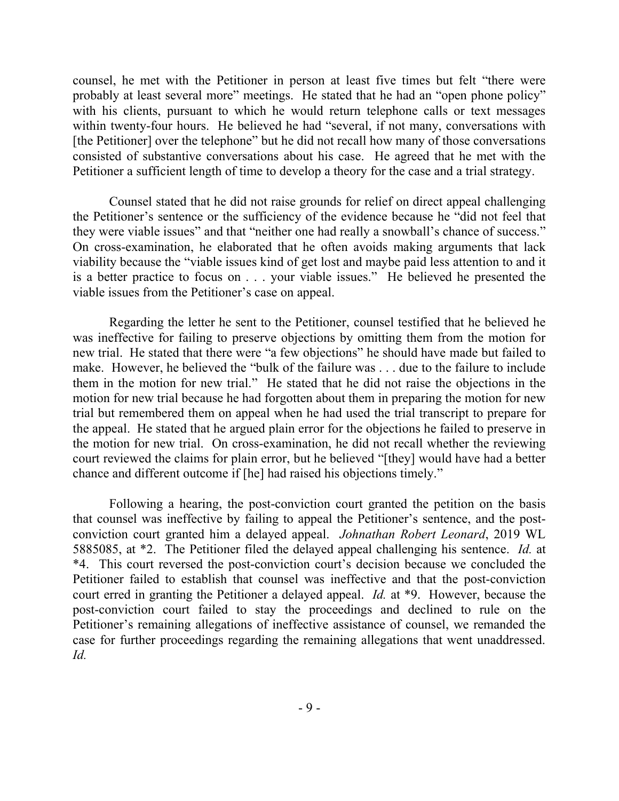counsel, he met with the Petitioner in person at least five times but felt "there were probably at least several more" meetings. He stated that he had an "open phone policy" with his clients, pursuant to which he would return telephone calls or text messages within twenty-four hours. He believed he had "several, if not many, conversations with [the Petitioner] over the telephone" but he did not recall how many of those conversations consisted of substantive conversations about his case. He agreed that he met with the Petitioner a sufficient length of time to develop a theory for the case and a trial strategy.

Counsel stated that he did not raise grounds for relief on direct appeal challenging the Petitioner's sentence or the sufficiency of the evidence because he "did not feel that they were viable issues" and that "neither one had really a snowball's chance of success." On cross-examination, he elaborated that he often avoids making arguments that lack viability because the "viable issues kind of get lost and maybe paid less attention to and it is a better practice to focus on . . . your viable issues." He believed he presented the viable issues from the Petitioner's case on appeal.

Regarding the letter he sent to the Petitioner, counsel testified that he believed he was ineffective for failing to preserve objections by omitting them from the motion for new trial. He stated that there were "a few objections" he should have made but failed to make. However, he believed the "bulk of the failure was . . . due to the failure to include them in the motion for new trial." He stated that he did not raise the objections in the motion for new trial because he had forgotten about them in preparing the motion for new trial but remembered them on appeal when he had used the trial transcript to prepare for the appeal. He stated that he argued plain error for the objections he failed to preserve in the motion for new trial. On cross-examination, he did not recall whether the reviewing court reviewed the claims for plain error, but he believed "[they] would have had a better chance and different outcome if [he] had raised his objections timely."

Following a hearing, the post-conviction court granted the petition on the basis that counsel was ineffective by failing to appeal the Petitioner's sentence, and the postconviction court granted him a delayed appeal. *Johnathan Robert Leonard*, 2019 WL 5885085, at \*2. The Petitioner filed the delayed appeal challenging his sentence. *Id.* at \*4. This court reversed the post-conviction court's decision because we concluded the Petitioner failed to establish that counsel was ineffective and that the post-conviction court erred in granting the Petitioner a delayed appeal. *Id.* at \*9. However, because the post-conviction court failed to stay the proceedings and declined to rule on the Petitioner's remaining allegations of ineffective assistance of counsel, we remanded the case for further proceedings regarding the remaining allegations that went unaddressed. *Id.*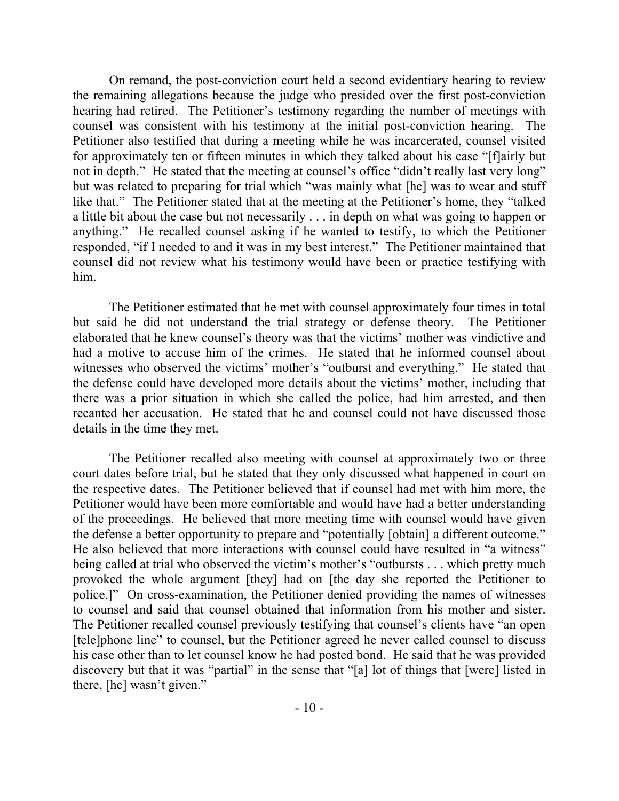On remand, the post-conviction court held a second evidentiary hearing to review the remaining allegations because the judge who presided over the first post-conviction hearing had retired. The Petitioner's testimony regarding the number of meetings with counsel was consistent with his testimony at the initial post-conviction hearing. The Petitioner also testified that during a meeting while he was incarcerated, counsel visited for approximately ten or fifteen minutes in which they talked about his case "[f]airly but not in depth." He stated that the meeting at counsel's office "didn't really last very long" but was related to preparing for trial which "was mainly what [he] was to wear and stuff like that." The Petitioner stated that at the meeting at the Petitioner's home, they "talked a little bit about the case but not necessarily . . . in depth on what was going to happen or anything." He recalled counsel asking if he wanted to testify, to which the Petitioner responded, "if I needed to and it was in my best interest." The Petitioner maintained that counsel did not review what his testimony would have been or practice testifying with him.

The Petitioner estimated that he met with counsel approximately four times in total but said he did not understand the trial strategy or defense theory. The Petitioner elaborated that he knew counsel's theory was that the victims' mother was vindictive and had a motive to accuse him of the crimes. He stated that he informed counsel about witnesses who observed the victims' mother's "outburst and everything." He stated that the defense could have developed more details about the victims' mother, including that there was a prior situation in which she called the police, had him arrested, and then recanted her accusation. He stated that he and counsel could not have discussed those details in the time they met.

The Petitioner recalled also meeting with counsel at approximately two or three court dates before trial, but he stated that they only discussed what happened in court on the respective dates. The Petitioner believed that if counsel had met with him more, the Petitioner would have been more comfortable and would have had a better understanding of the proceedings. He believed that more meeting time with counsel would have given the defense a better opportunity to prepare and "potentially [obtain] a different outcome." He also believed that more interactions with counsel could have resulted in "a witness" being called at trial who observed the victim's mother's "outbursts . . . which pretty much provoked the whole argument [they] had on [the day she reported the Petitioner to police.]" On cross-examination, the Petitioner denied providing the names of witnesses to counsel and said that counsel obtained that information from his mother and sister. The Petitioner recalled counsel previously testifying that counsel's clients have "an open [tele]phone line" to counsel, but the Petitioner agreed he never called counsel to discuss his case other than to let counsel know he had posted bond. He said that he was provided discovery but that it was "partial" in the sense that "[a] lot of things that [were] listed in there, [he] wasn't given."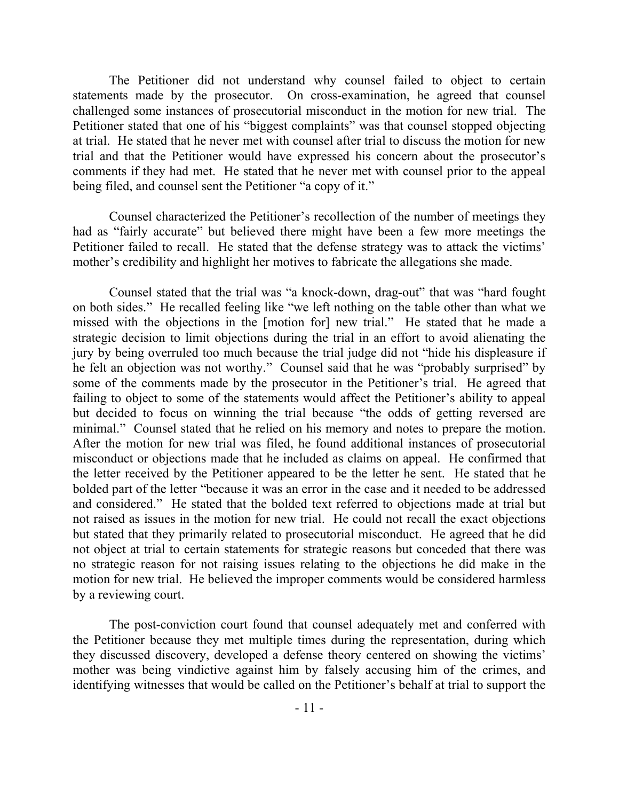The Petitioner did not understand why counsel failed to object to certain statements made by the prosecutor. On cross-examination, he agreed that counsel challenged some instances of prosecutorial misconduct in the motion for new trial. The Petitioner stated that one of his "biggest complaints" was that counsel stopped objecting at trial. He stated that he never met with counsel after trial to discuss the motion for new trial and that the Petitioner would have expressed his concern about the prosecutor's comments if they had met. He stated that he never met with counsel prior to the appeal being filed, and counsel sent the Petitioner "a copy of it."

Counsel characterized the Petitioner's recollection of the number of meetings they had as "fairly accurate" but believed there might have been a few more meetings the Petitioner failed to recall. He stated that the defense strategy was to attack the victims' mother's credibility and highlight her motives to fabricate the allegations she made.

Counsel stated that the trial was "a knock-down, drag-out" that was "hard fought on both sides." He recalled feeling like "we left nothing on the table other than what we missed with the objections in the [motion for] new trial." He stated that he made a strategic decision to limit objections during the trial in an effort to avoid alienating the jury by being overruled too much because the trial judge did not "hide his displeasure if he felt an objection was not worthy." Counsel said that he was "probably surprised" by some of the comments made by the prosecutor in the Petitioner's trial. He agreed that failing to object to some of the statements would affect the Petitioner's ability to appeal but decided to focus on winning the trial because "the odds of getting reversed are minimal." Counsel stated that he relied on his memory and notes to prepare the motion. After the motion for new trial was filed, he found additional instances of prosecutorial misconduct or objections made that he included as claims on appeal. He confirmed that the letter received by the Petitioner appeared to be the letter he sent. He stated that he bolded part of the letter "because it was an error in the case and it needed to be addressed and considered." He stated that the bolded text referred to objections made at trial but not raised as issues in the motion for new trial. He could not recall the exact objections but stated that they primarily related to prosecutorial misconduct. He agreed that he did not object at trial to certain statements for strategic reasons but conceded that there was no strategic reason for not raising issues relating to the objections he did make in the motion for new trial. He believed the improper comments would be considered harmless by a reviewing court.

The post-conviction court found that counsel adequately met and conferred with the Petitioner because they met multiple times during the representation, during which they discussed discovery, developed a defense theory centered on showing the victims' mother was being vindictive against him by falsely accusing him of the crimes, and identifying witnesses that would be called on the Petitioner's behalf at trial to support the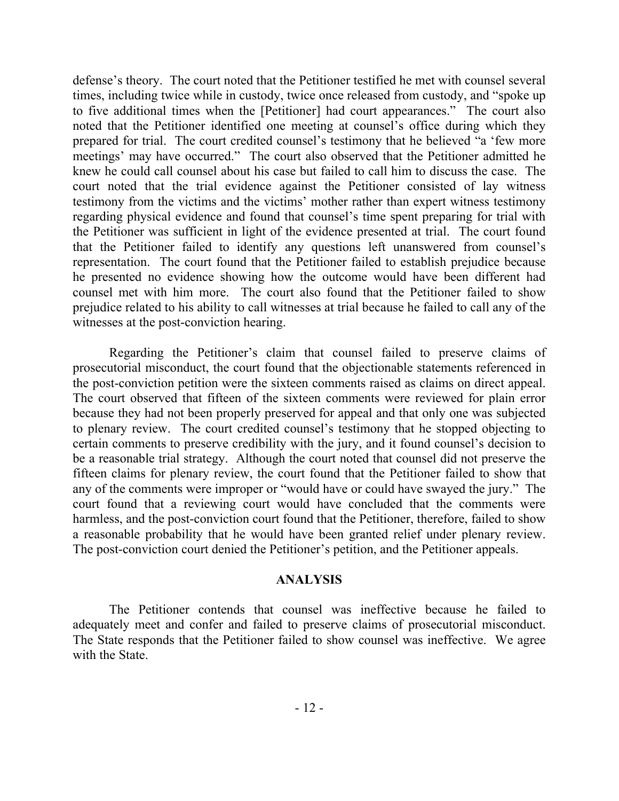defense's theory. The court noted that the Petitioner testified he met with counsel several times, including twice while in custody, twice once released from custody, and "spoke up to five additional times when the [Petitioner] had court appearances." The court also noted that the Petitioner identified one meeting at counsel's office during which they prepared for trial. The court credited counsel's testimony that he believed "a 'few more meetings' may have occurred." The court also observed that the Petitioner admitted he knew he could call counsel about his case but failed to call him to discuss the case. The court noted that the trial evidence against the Petitioner consisted of lay witness testimony from the victims and the victims' mother rather than expert witness testimony regarding physical evidence and found that counsel's time spent preparing for trial with the Petitioner was sufficient in light of the evidence presented at trial. The court found that the Petitioner failed to identify any questions left unanswered from counsel's representation. The court found that the Petitioner failed to establish prejudice because he presented no evidence showing how the outcome would have been different had counsel met with him more. The court also found that the Petitioner failed to show prejudice related to his ability to call witnesses at trial because he failed to call any of the witnesses at the post-conviction hearing.

Regarding the Petitioner's claim that counsel failed to preserve claims of prosecutorial misconduct, the court found that the objectionable statements referenced in the post-conviction petition were the sixteen comments raised as claims on direct appeal. The court observed that fifteen of the sixteen comments were reviewed for plain error because they had not been properly preserved for appeal and that only one was subjected to plenary review. The court credited counsel's testimony that he stopped objecting to certain comments to preserve credibility with the jury, and it found counsel's decision to be a reasonable trial strategy. Although the court noted that counsel did not preserve the fifteen claims for plenary review, the court found that the Petitioner failed to show that any of the comments were improper or "would have or could have swayed the jury." The court found that a reviewing court would have concluded that the comments were harmless, and the post-conviction court found that the Petitioner, therefore, failed to show a reasonable probability that he would have been granted relief under plenary review. The post-conviction court denied the Petitioner's petition, and the Petitioner appeals.

## **ANALYSIS**

The Petitioner contends that counsel was ineffective because he failed to adequately meet and confer and failed to preserve claims of prosecutorial misconduct. The State responds that the Petitioner failed to show counsel was ineffective. We agree with the State.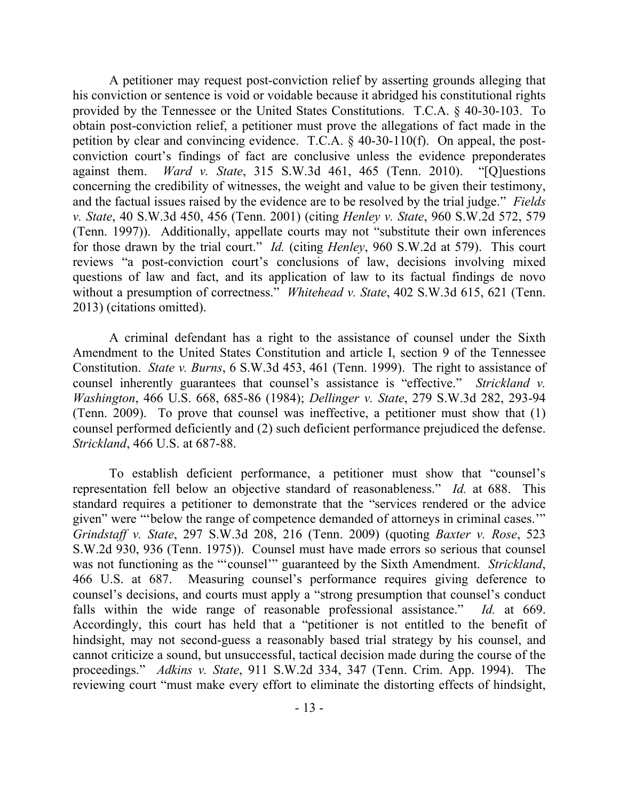A petitioner may request post-conviction relief by asserting grounds alleging that his conviction or sentence is void or voidable because it abridged his constitutional rights provided by the Tennessee or the United States Constitutions. T.C.A. § 40-30-103. To obtain post-conviction relief, a petitioner must prove the allegations of fact made in the petition by clear and convincing evidence. T.C.A. § 40-30-110(f). On appeal, the postconviction court's findings of fact are conclusive unless the evidence preponderates against them. *Ward v. State*, 315 S.W.3d 461, 465 (Tenn. 2010). "[Q]uestions concerning the credibility of witnesses, the weight and value to be given their testimony, and the factual issues raised by the evidence are to be resolved by the trial judge." *Fields v. State*, 40 S.W.3d 450, 456 (Tenn. 2001) (citing *Henley v. State*, 960 S.W.2d 572, 579 (Tenn. 1997)). Additionally, appellate courts may not "substitute their own inferences for those drawn by the trial court." *Id.* (citing *Henley*, 960 S.W.2d at 579). This court reviews "a post-conviction court's conclusions of law, decisions involving mixed questions of law and fact, and its application of law to its factual findings de novo without a presumption of correctness." *Whitehead v. State*, 402 S.W.3d 615, 621 (Tenn. 2013) (citations omitted).

A criminal defendant has a right to the assistance of counsel under the Sixth Amendment to the United States Constitution and article I, section 9 of the Tennessee Constitution. *State v. Burns*, 6 S.W.3d 453, 461 (Tenn. 1999). The right to assistance of counsel inherently guarantees that counsel's assistance is "effective." *Strickland v. Washington*, 466 U.S. 668, 685-86 (1984); *Dellinger v. State*, 279 S.W.3d 282, 293-94 (Tenn. 2009). To prove that counsel was ineffective, a petitioner must show that (1) counsel performed deficiently and (2) such deficient performance prejudiced the defense. *Strickland*, 466 U.S. at 687-88.

To establish deficient performance, a petitioner must show that "counsel's representation fell below an objective standard of reasonableness." *Id.* at 688. This standard requires a petitioner to demonstrate that the "services rendered or the advice given" were "'below the range of competence demanded of attorneys in criminal cases.'" *Grindstaff v. State*, 297 S.W.3d 208, 216 (Tenn. 2009) (quoting *Baxter v. Rose*, 523 S.W.2d 930, 936 (Tenn. 1975)). Counsel must have made errors so serious that counsel was not functioning as the "'counsel'" guaranteed by the Sixth Amendment. *Strickland*, 466 U.S. at 687. Measuring counsel's performance requires giving deference to counsel's decisions, and courts must apply a "strong presumption that counsel's conduct falls within the wide range of reasonable professional assistance." *Id.* at 669. Accordingly, this court has held that a "petitioner is not entitled to the benefit of hindsight, may not second-guess a reasonably based trial strategy by his counsel, and cannot criticize a sound, but unsuccessful, tactical decision made during the course of the proceedings." *Adkins v. State*, 911 S.W.2d 334, 347 (Tenn. Crim. App. 1994). The reviewing court "must make every effort to eliminate the distorting effects of hindsight,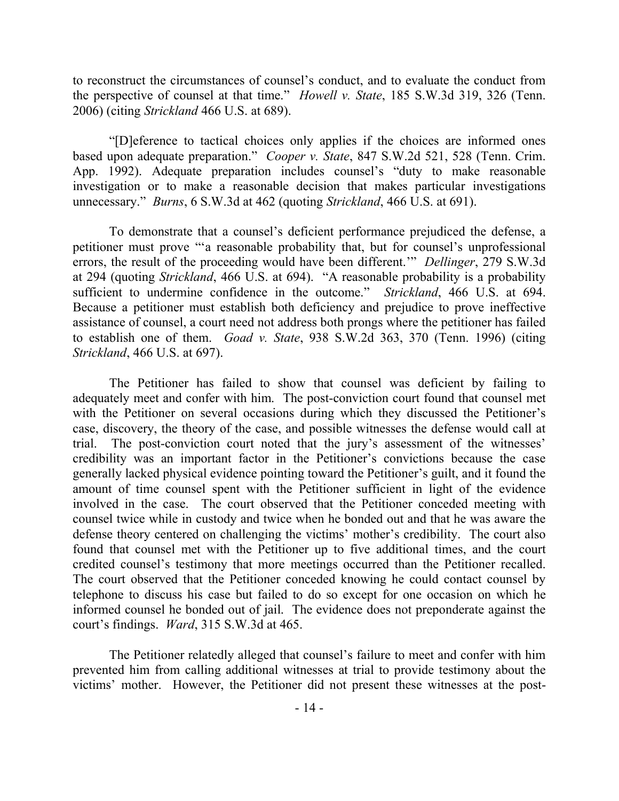to reconstruct the circumstances of counsel's conduct, and to evaluate the conduct from the perspective of counsel at that time." *Howell v. State*, 185 S.W.3d 319, 326 (Tenn. 2006) (citing *Strickland* 466 U.S. at 689).

"[D]eference to tactical choices only applies if the choices are informed ones based upon adequate preparation." *Cooper v. State*, 847 S.W.2d 521, 528 (Tenn. Crim. App. 1992). Adequate preparation includes counsel's "duty to make reasonable investigation or to make a reasonable decision that makes particular investigations unnecessary." *Burns*, 6 S.W.3d at 462 (quoting *Strickland*, 466 U.S. at 691).

To demonstrate that a counsel's deficient performance prejudiced the defense, a petitioner must prove "'a reasonable probability that, but for counsel's unprofessional errors, the result of the proceeding would have been different.'" *Dellinger*, 279 S.W.3d at 294 (quoting *Strickland*, 466 U.S. at 694). "A reasonable probability is a probability sufficient to undermine confidence in the outcome." *Strickland*, 466 U.S. at 694. Because a petitioner must establish both deficiency and prejudice to prove ineffective assistance of counsel, a court need not address both prongs where the petitioner has failed to establish one of them. *Goad v. State*, 938 S.W.2d 363, 370 (Tenn. 1996) (citing *Strickland*, 466 U.S. at 697).

The Petitioner has failed to show that counsel was deficient by failing to adequately meet and confer with him. The post-conviction court found that counsel met with the Petitioner on several occasions during which they discussed the Petitioner's case, discovery, the theory of the case, and possible witnesses the defense would call at trial. The post-conviction court noted that the jury's assessment of the witnesses' credibility was an important factor in the Petitioner's convictions because the case generally lacked physical evidence pointing toward the Petitioner's guilt, and it found the amount of time counsel spent with the Petitioner sufficient in light of the evidence involved in the case. The court observed that the Petitioner conceded meeting with counsel twice while in custody and twice when he bonded out and that he was aware the defense theory centered on challenging the victims' mother's credibility. The court also found that counsel met with the Petitioner up to five additional times, and the court credited counsel's testimony that more meetings occurred than the Petitioner recalled. The court observed that the Petitioner conceded knowing he could contact counsel by telephone to discuss his case but failed to do so except for one occasion on which he informed counsel he bonded out of jail. The evidence does not preponderate against the court's findings. *Ward*, 315 S.W.3d at 465.

The Petitioner relatedly alleged that counsel's failure to meet and confer with him prevented him from calling additional witnesses at trial to provide testimony about the victims' mother. However, the Petitioner did not present these witnesses at the post-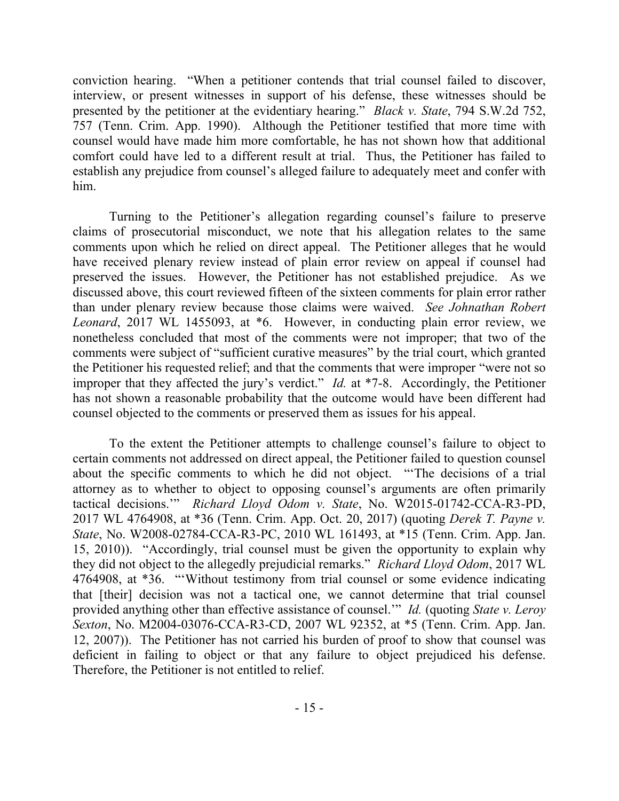conviction hearing. "When a petitioner contends that trial counsel failed to discover, interview, or present witnesses in support of his defense, these witnesses should be presented by the petitioner at the evidentiary hearing." *Black v. State*, 794 S.W.2d 752, 757 (Tenn. Crim. App. 1990). Although the Petitioner testified that more time with counsel would have made him more comfortable, he has not shown how that additional comfort could have led to a different result at trial. Thus, the Petitioner has failed to establish any prejudice from counsel's alleged failure to adequately meet and confer with him.

Turning to the Petitioner's allegation regarding counsel's failure to preserve claims of prosecutorial misconduct, we note that his allegation relates to the same comments upon which he relied on direct appeal. The Petitioner alleges that he would have received plenary review instead of plain error review on appeal if counsel had preserved the issues. However, the Petitioner has not established prejudice. As we discussed above, this court reviewed fifteen of the sixteen comments for plain error rather than under plenary review because those claims were waived. *See Johnathan Robert Leonard*, 2017 WL 1455093, at \*6. However, in conducting plain error review, we nonetheless concluded that most of the comments were not improper; that two of the comments were subject of "sufficient curative measures" by the trial court, which granted the Petitioner his requested relief; and that the comments that were improper "were not so improper that they affected the jury's verdict." *Id.* at \*7-8. Accordingly, the Petitioner has not shown a reasonable probability that the outcome would have been different had counsel objected to the comments or preserved them as issues for his appeal.

To the extent the Petitioner attempts to challenge counsel's failure to object to certain comments not addressed on direct appeal, the Petitioner failed to question counsel about the specific comments to which he did not object. "'The decisions of a trial attorney as to whether to object to opposing counsel's arguments are often primarily tactical decisions.'" *Richard Lloyd Odom v. State*, No. W2015-01742-CCA-R3-PD, 2017 WL 4764908, at \*36 (Tenn. Crim. App. Oct. 20, 2017) (quoting *Derek T. Payne v. State*, No. W2008-02784-CCA-R3-PC, 2010 WL 161493, at \*15 (Tenn. Crim. App. Jan. 15, 2010)). "Accordingly, trial counsel must be given the opportunity to explain why they did not object to the allegedly prejudicial remarks." *Richard Lloyd Odom*, 2017 WL 4764908, at \*36. "'Without testimony from trial counsel or some evidence indicating that [their] decision was not a tactical one, we cannot determine that trial counsel provided anything other than effective assistance of counsel.'" *Id.* (quoting *State v. Leroy Sexton*, No. M2004-03076-CCA-R3-CD, 2007 WL 92352, at \*5 (Tenn. Crim. App. Jan. 12, 2007)). The Petitioner has not carried his burden of proof to show that counsel was deficient in failing to object or that any failure to object prejudiced his defense. Therefore, the Petitioner is not entitled to relief.